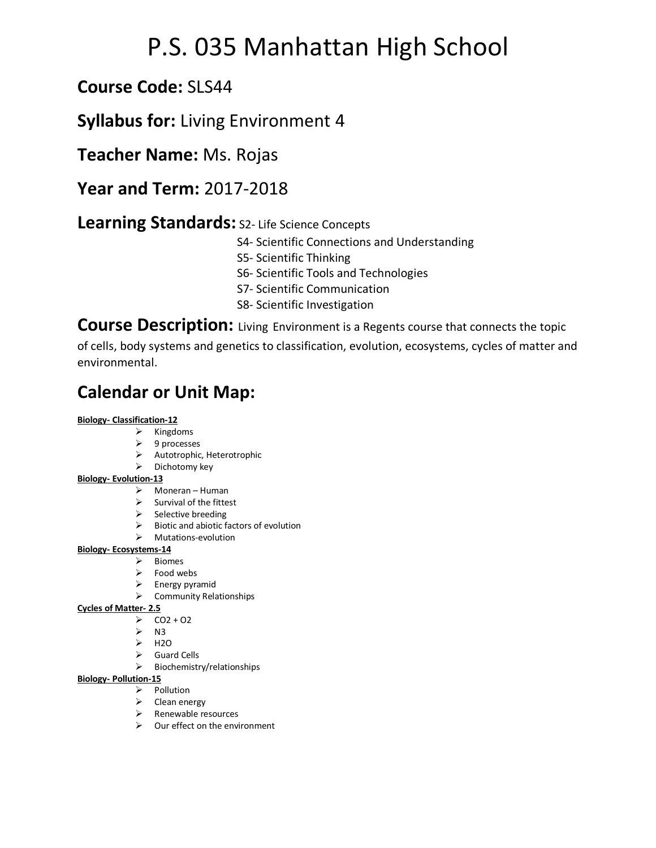# P.S. 035 Manhattan High School

### **Course Code:** SLS44

### **Syllabus for:** Living Environment 4

**Teacher Name:** Ms. Rojas

**Year and Term:** 2017-2018

### **Learning Standards:** S2- Life Science Concepts

- S4- Scientific Connections and Understanding
- S5- Scientific Thinking
- S6- Scientific Tools and Technologies
- S7- Scientific Communication
- S8- Scientific Investigation

**Course Description:** Living Environment is a Regents course that connects the topic

of cells, body systems and genetics to classification, evolution, ecosystems, cycles of matter and environmental.

## **Calendar or Unit Map:**

#### **Biology- Classification-12**

- $\triangleright$  Kingdoms
- $\triangleright$  9 processes
- $\triangleright$  Autotrophic, Heterotrophic
- $\triangleright$  Dichotomy key

#### **Biology- Evolution-13**

- $\triangleright$  Moneran Human
- $\triangleright$  Survival of the fittest
- $\triangleright$  Selective breeding
- $\triangleright$  Biotic and abiotic factors of evolution
- $\triangleright$  Mutations-evolution

#### **Biology- Ecosystems-14**

- Ø Biomes
- $\triangleright$  Food webs
- $\triangleright$  Energy pyramid
- $\triangleright$  Community Relationships

#### **Cycles of Matter- 2.5**

- $\triangleright$  CO2 + O2
- $\triangleright$  N3
- $\triangleright$  H2O
- $\triangleright$  Guard Cells
- $\triangleright$  Biochemistry/relationships

#### **Biology- Pollution-15**

- $\triangleright$  Pollution
- $\triangleright$  Clean energy
- $\triangleright$  Renewable resources
- $\triangleright$  Our effect on the environment